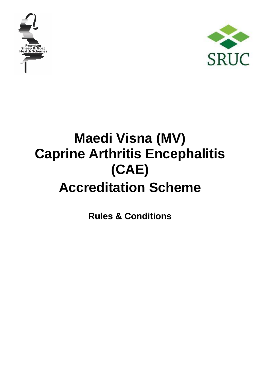



# **Maedi Visna (MV) Caprine Arthritis Encephalitis (CAE) Accreditation Scheme**

**Rules & Conditions**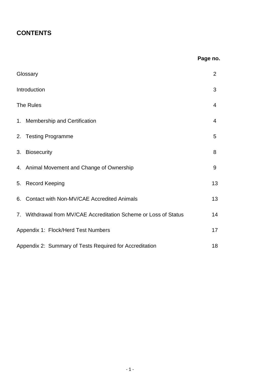# **CONTENTS**

# **Page no.**

| Glossary                                                         | $\overline{2}$ |
|------------------------------------------------------------------|----------------|
| Introduction                                                     | 3              |
| The Rules                                                        | 4              |
| 1. Membership and Certification                                  | 4              |
| 2. Testing Programme                                             | 5              |
| <b>Biosecurity</b><br>3.                                         | 8              |
| 4. Animal Movement and Change of Ownership                       | 9              |
| 5. Record Keeping                                                | 13             |
| Contact with Non-MV/CAE Accredited Animals<br>6.                 | 13             |
| 7. Withdrawal from MV/CAE Accreditation Scheme or Loss of Status | 14             |
| Appendix 1: Flock/Herd Test Numbers                              | 17             |
| Appendix 2: Summary of Tests Required for Accreditation          | 18             |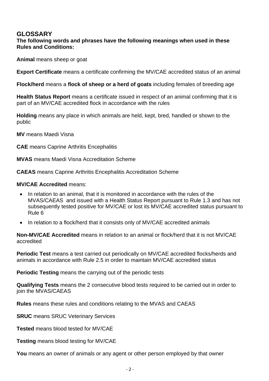# **GLOSSARY**

#### **The following words and phrases have the following meanings when used in these Rules and Conditions:**

**Animal** means sheep or goat

**Export Certificate** means a certificate confirming the MV/CAE accredited status of an animal

**Flock/herd** means a **flock of sheep or a herd of goats** including females of breeding age

**Health Status Report** means a certificate issued in respect of an animal confirming that it is part of an MV/CAE accredited flock in accordance with the rules

**Holding** means any place in which animals are held, kept, bred, handled or shown to the public

**MV** means Maedi Visna

**CAE** means Caprine Arthritis Encephalitis

**MVAS** means Maedi Visna Accreditation Scheme

**CAEAS** means Caprine Arthritis Encephalitis Accreditation Scheme

#### **MV/CAE Accredited** means:

- In relation to an animal, that it is monitored in accordance with the rules of the MVAS/CAEAS and issued with a Health Status Report pursuant to Rule 1.3 and has not subsequently tested positive for MV/CAE or lost its MV/CAE accredited status pursuant to Rule 6
- In relation to a flock/herd that it consists only of MV/CAE accredited animals

**Non-MV/CAE Accredited** means in relation to an animal or flock/herd that it is not MV/CAE accredited

**Periodic Test** means a test carried out periodically on MV/CAE accredited flocks/herds and animals in accordance with Rule 2.5 in order to maintain MV/CAE accredited status

**Periodic Testing** means the carrying out of the periodic tests

**Qualifying Tests** means the 2 consecutive blood tests required to be carried out in order to join the MVAS/CAEAS

**Rules** means these rules and conditions relating to the MVAS and CAEAS

**SRUC** means SRUC Veterinary Services

**Tested** means blood tested for MV/CAE

**Testing** means blood testing for MV/CAE

**You** means an owner of animals or any agent or other person employed by that owner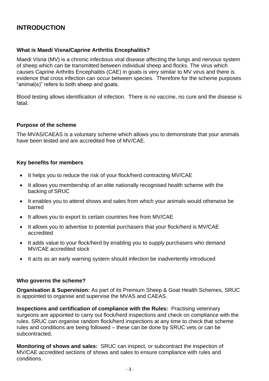# **INTRODUCTION**

#### **What is Maedi Visna/Caprine Arthritis Encephalitis?**

Maedi Visna (MV) is a chronic infectious viral disease affecting the lungs and nervous system of sheep which can be transmitted between individual sheep and flocks. The virus which causes Caprine Arthritis Encephalitis (CAE) in goats is very similar to MV virus and there is evidence that cross infection can occur between species. Therefore for the scheme purposes "animal(s)" refers to both sheep and goats.

Blood testing allows identification of infection. There is no vaccine, no cure and the disease is fatal.

#### **Purpose of the scheme**

The MVAS/CAEAS is a voluntary scheme which allows you to demonstrate that your animals have been tested and are accredited free of MV/CAE.

#### **Key benefits for members**

- It helps you to reduce the risk of your flock/herd contracting MV/CAE
- It allows you membership of an elite nationally recognised health scheme with the backing of SRUC
- It enables you to attend shows and sales from which your animals would otherwise be barred
- It allows you to export to certain countries free from MV/CAE
- It allows you to advertise to potential purchasers that your flock/herd is MV/CAE accredited
- It adds value to your flock/herd by enabling you to supply purchasers who demand MV/CAE accredited stock
- It acts as an early warning system should infection be inadvertently introduced

#### **Who governs the scheme?**

**Organisation & Supervision:** As part of its Premium Sheep & Goat Health Schemes, SRUC is appointed to organise and supervise the MVAS and CAEAS.

**Inspections and certification of compliance with the Rules:** Practising veterinary surgeons are appointed to carry out flock/herd inspections and check on compliance with the rules. SRUC can organise random flock/herd inspections at any time to check that scheme rules and conditions are being followed – these can be done by SRUC vets or can be subcontracted.

**Monitoring of shows and sales:** SRUC can inspect, or subcontract the inspection of MV/CAE accredited sections of shows and sales to ensure compliance with rules and conditions.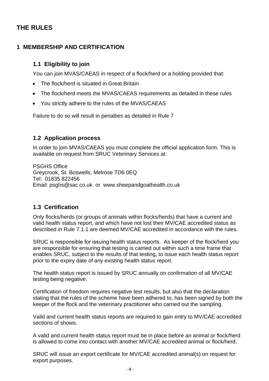# **THE RULES**

# **1 MEMBERSHIP AND CERTIFICATION**

## **1.1 Eligibility to join**

You can join MVAS/CAEAS in respect of a flock/herd or a holding provided that:

- The flock/herd is situated in Great Britain
- The flock/herd meets the MVAS/CAEAS requirements as detailed in these rules
- You strictly adhere to the rules of the MVAS/CAEAS

Failure to do so will result in penalties as detailed in Rule 7

#### **1.2 Application process**

In order to join MVAS/CAEAS you must complete the official application form. This is available on request from SRUC Veterinary Services at:

PSGHS Office Greycrook, St. Boswells, Melrose TD6 0EQ Tel: 01835 822456 Email: psghs@sac.co.uk or www.sheepandgoathealth.co.uk

# **1.3 Certification**

Only flocks/herds (or groups of animals within flocks/herds) that have a current and valid health status report, and which have not lost their MV/CAE accredited status as described in Rule 7.1.1 are deemed MV/CAE accredited in accordance with the rules.

SRUC is responsible for issuing health status reports. As keeper of the flock/herd you are responsible for ensuring that testing is carried out within such a time frame that enables SRUC, subject to the results of that testing, to issue each health status report prior to the expiry date of any existing health status report.

The health status report is issued by SRUC annually on confirmation of all MV/CAE testing being negative.

Certification of freedom requires negative test results, but also that the declaration stating that the rules of the scheme have been adhered to, has been signed by both the keeper of the flock and the veterinary practitioner who carried out the sampling.

Valid and current health status reports are required to gain entry to MV/CAE accredited sections of shows.

A valid and current health status report must be in place before an animal or flock/herd is allowed to come into contact with another MV/CAE accredited animal or flock/herd.

SRUC will issue an export certificate for MV/CAE accredited animal(s) on request for export purposes.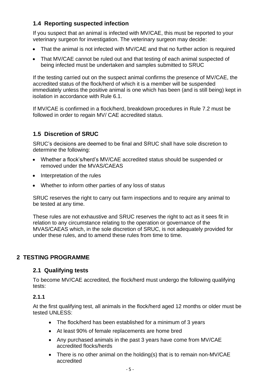# **1.4 Reporting suspected infection**

If you suspect that an animal is infected with MV/CAE, this must be reported to your veterinary surgeon for investigation. The veterinary surgeon may decide:

- That the animal is not infected with MV/CAE and that no further action is required
- That MV/CAE cannot be ruled out and that testing of each animal suspected of being infected must be undertaken and samples submitted to SRUC

If the testing carried out on the suspect animal confirms the presence of MV/CAE, the accredited status of the flock/herd of which it is a member will be suspended immediately unless the positive animal is one which has been (and is still being) kept in isolation in accordance with Rule 6.1.

If MV/CAE is confirmed in a flock/herd, breakdown procedures in Rule 7.2 must be followed in order to regain MV/ CAE accredited status.

# **1.5 Discretion of SRUC**

SRUC's decisions are deemed to be final and SRUC shall have sole discretion to determine the following:

- Whether a flock's/herd's MV/CAE accredited status should be suspended or removed under the MVAS/CAEAS
- Interpretation of the rules
- Whether to inform other parties of any loss of status

SRUC reserves the right to carry out farm inspections and to require any animal to be tested at any time.

These rules are not exhaustive and SRUC reserves the right to act as it sees fit in relation to any circumstance relating to the operation or governance of the MVAS/CAEAS which, in the sole discretion of SRUC, is not adequately provided for under these rules, and to amend these rules from time to time.

# **2 TESTING PROGRAMME**

#### **2.1 Qualifying tests**

To become MV/CAE accredited, the flock/herd must undergo the following qualifying tests:

## **2.1.1**

At the first qualifying test, all animals in the flock/herd aged 12 months or older must be tested UNLESS:

- The flock/herd has been established for a minimum of 3 years
- At least 90% of female replacements are home bred
- Any purchased animals in the past 3 years have come from MV/CAE accredited flocks/herds
- There is no other animal on the holding(s) that is to remain non-MV/CAE accredited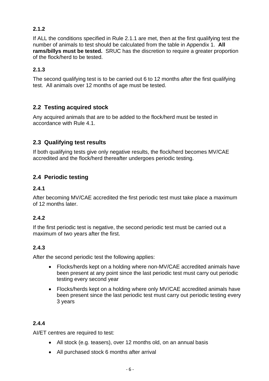## **2.1.2**

If ALL the conditions specified in Rule 2.1.1 are met, then at the first qualifying test the number of animals to test should be calculated from the table in Appendix 1. **All rams/billys must be tested.** SRUC has the discretion to require a greater proportion of the flock/herd to be tested.

#### **2.1.3**

The second qualifying test is to be carried out 6 to 12 months after the first qualifying test. All animals over 12 months of age must be tested.

# **2.2 Testing acquired stock**

Any acquired animals that are to be added to the flock/herd must be tested in accordance with Rule 4.1.

# **2.3 Qualifying test results**

If both qualifying tests give only negative results, the flock/herd becomes MV/CAE accredited and the flock/herd thereafter undergoes periodic testing.

# **2.4 Periodic testing**

#### **2.4.1**

After becoming MV/CAE accredited the first periodic test must take place a maximum of 12 months later.

#### **2.4.2**

If the first periodic test is negative, the second periodic test must be carried out a maximum of two years after the first.

#### **2.4.3**

After the second periodic test the following applies:

- Flocks/herds kept on a holding where non-MV/CAE accredited animals have been present at any point since the last periodic test must carry out periodic testing every second year
- Flocks/herds kept on a holding where only MV/CAE accredited animals have been present since the last periodic test must carry out periodic testing every 3 years

#### **2.4.4**

AI/ET centres are required to test:

- All stock (e.g. teasers), over 12 months old, on an annual basis
- All purchased stock 6 months after arrival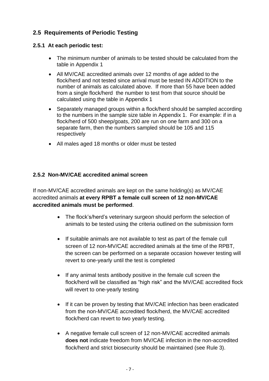# **2.5 Requirements of Periodic Testing**

#### **2.5.1 At each periodic test:**

- The minimum number of animals to be tested should be calculated from the table in Appendix 1
- All MV/CAE accredited animals over 12 months of age added to the flock/herd and not tested since arrival must be tested IN ADDITION to the number of animals as calculated above. If more than 55 have been added from a single flock/herd the number to test from that source should be calculated using the table in Appendix 1
- Separately managed groups within a flock/herd should be sampled according to the numbers in the sample size table in Appendix 1. For example: if in a flock/herd of 500 sheep/goats, 200 are run on one farm and 300 on a separate farm, then the numbers sampled should be 105 and 115 respectively
- All males aged 18 months or older must be tested

## **2.5.2 Non-MV/CAE accredited animal screen**

If non-MV/CAE accredited animals are kept on the same holding(s) as MV/CAE accredited animals **at every RPBT a female cull screen of 12 non-MV/CAE accredited animals must be performed**.

- The flock's/herd's veterinary surgeon should perform the selection of animals to be tested using the criteria outlined on the submission form
- If suitable animals are not available to test as part of the female cull screen of 12 non-MV/CAE accredited animals at the time of the RPBT, the screen can be performed on a separate occasion however testing will revert to one-yearly until the test is completed
- If any animal tests antibody positive in the female cull screen the flock/herd will be classified as "high risk" and the MV/CAE accredited flock will revert to one-yearly testing
- If it can be proven by testing that MV/CAE infection has been eradicated from the non-MV/CAE accredited flock/herd, the MV/CAE accredited flock/herd can revert to two yearly testing.
- A negative female cull screen of 12 non-MV/CAE accredited animals **does not** indicate freedom from MV/CAE infection in the non-accredited flock/herd and strict biosecurity should be maintained (see Rule 3).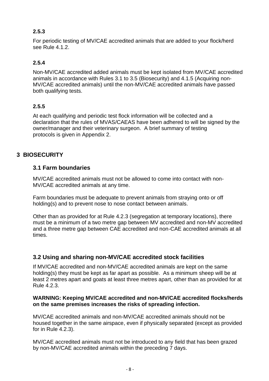# **2.5.3**

For periodic testing of MV/CAE accredited animals that are added to your flock/herd see Rule 4.1.2.

# **2.5.4**

Non-MV/CAE accredited added animals must be kept isolated from MV/CAE accredited animals in accordance with Rules 3.1 to 3.5 (Biosecurity) and 4.1.5 (Acquiring non-MV/CAE accredited animals) until the non-MV/CAE accredited animals have passed both qualifying tests.

# **2.5.5**

At each qualifying and periodic test flock information will be collected and a declaration that the rules of MVAS/CAEAS have been adhered to will be signed by the owner/manager and their veterinary surgeon. A brief summary of testing protocols is given in Appendix 2.

# **3 BIOSECURITY**

# **3.1 Farm boundaries**

MV/CAE accredited animals must not be allowed to come into contact with non-MV/CAE accredited animals at any time.

Farm boundaries must be adequate to prevent animals from straying onto or off holding(s) and to prevent nose to nose contact between animals.

Other than as provided for at Rule 4.2.3 (segregation at temporary locations), there must be a minimum of a two metre gap between MV accredited and non-MV accredited and a three metre gap between CAE accredited and non-CAE accredited animals at all times.

# **3.2 Using and sharing non-MV/CAE accredited stock facilities**

If MV/CAE accredited and non-MV/CAE accredited animals are kept on the same holding(s) they must be kept as far apart as possible. As a minimum sheep will be at least 2 metres apart and goats at least three metres apart, other than as provided for at Rule  $4.2.3$ .

#### **WARNING: Keeping MV/CAE accredited and non-MV/CAE accredited flocks/herds on the same premises increases the risks of spreading infection.**

MV/CAE accredited animals and non-MV/CAE accredited animals should not be housed together in the same airspace, even if physically separated (except as provided for in Rule 4.2.3).

MV/CAE accredited animals must not be introduced to any field that has been grazed by non-MV/CAE accredited animals within the preceding 7 days.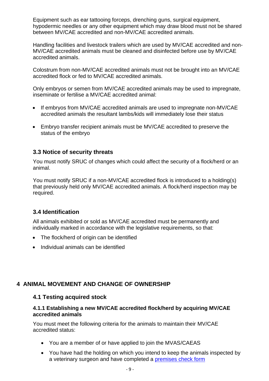Equipment such as ear tattooing forceps, drenching guns, surgical equipment, hypodermic needles or any other equipment which may draw blood must not be shared between MV/CAE accredited and non-MV/CAE accredited animals.

Handling facilities and livestock trailers which are used by MV/CAE accredited and non-MV/CAE accredited animals must be cleaned and disinfected before use by MV/CAE accredited animals.

Colostrum from non-MV/CAE accredited animals must not be brought into an MV/CAE accredited flock or fed to MV/CAE accredited animals.

Only embryos or semen from MV/CAE accredited animals may be used to impregnate, inseminate or fertilise a MV/CAE accredited animal:

- If embryos from MV/CAE accredited animals are used to impregnate non-MV/CAE accredited animals the resultant lambs/kids will immediately lose their status
- Embryo transfer recipient animals must be MV/CAE accredited to preserve the status of the embryo

#### **3.3 Notice of security threats**

You must notify SRUC of changes which could affect the security of a flock/herd or an animal.

You must notify SRUC if a non-MV/CAE accredited flock is introduced to a holding(s) that previously held only MV/CAE accredited animals. A flock/herd inspection may be required.

#### **3.4 Identification**

All animals exhibited or sold as MV/CAE accredited must be permanently and individually marked in accordance with the legislative requirements, so that:

- The flock/herd of origin can be identified
- Individual animals can be identified

# **4 ANIMAL MOVEMENT AND CHANGE OF OWNERSHIP**

#### **4.1 Testing acquired stock**

#### **4.1.1 Establishing a new MV/CAE accredited flock/herd by acquiring MV/CAE accredited animals**

You must meet the following criteria for the animals to maintain their MV/CAE accredited status:

- You are a member of or have applied to join the MVAS/CAEAS
- You have had the holding on which you intend to keep the animals inspected by a veterinary surgeon and have completed a [premises check form](http://www.sruc.ac.uk/downloads/file/698/mvcae_accreditation_premises_check_form)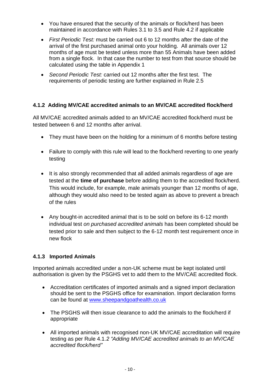- You have ensured that the security of the animals or flock/herd has been maintained in accordance with Rules 3.1 to 3.5 and Rule 4.2 if applicable
- *First Periodic Test:* must be carried out 6 to 12 months after the date of the arrival of the first purchased animal onto your holding. All animals over 12 months of age must be tested unless more than 55 Animals have been added from a single flock. In that case the number to test from that source should be calculated using the table in Appendix 1
- *Second Periodic Test:* carried out 12 months after the first test. The requirements of periodic testing are further explained in Rule 2.5

#### **4.1.2 Adding MV/CAE accredited animals to an MV/CAE accredited flock/herd**

All MV/CAE accredited animals added to an MV/CAE accredited flock/herd must be tested between 6 and 12 months after arrival.

- They must have been on the holding for a minimum of 6 months before testing
- Failure to comply with this rule will lead to the flock/herd reverting to one vearly testing
- It is also strongly recommended that all added animals regardless of age are tested at the **time of purchase** before adding them to the accredited flock/herd. This would include, for example, male animals younger than 12 months of age, although they would also need to be tested again as above to prevent a breach of the rules
- Any bought-in accredited animal that is to be sold on before its 6-12 month individual test *on purchased accredited animals* has been completed should be tested prior to sale and then subject to the 6-12 month test requirement once in new flock

#### **4.1.3 Imported Animals**

Imported animals accredited under a non-UK scheme must be kept isolated until authorisation is given by the PSGHS vet to add them to the MV/CAE accredited flock.

- Accreditation certificates of imported animals and a signed import declaration should be sent to the PSGHS office for examination. Import declaration forms can be found at [www.sheepandgoathealth.co.uk](http://www.sheepandgoathealth.co.uk/)
- The PSGHS will then issue clearance to add the animals to the flock/herd if appropriate
- All imported animals with recognised non-UK MV/CAE accreditation will require testing as per Rule 4.1.*2 "Adding MV/CAE accredited animals to an MV/CAE accredited flock/herd"*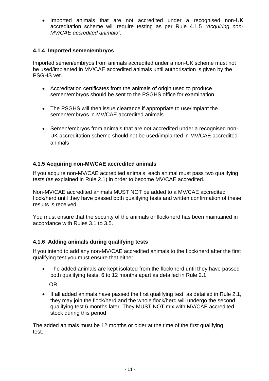• Imported animals that are not accredited under a recognised non-UK accreditation scheme will require testing as per Rule 4.1.5 *"Acquiring non-MV/CAE accredited animals"*.

#### **4.1.4 Imported semen/embryos**

Imported semen/embryos from animals accredited under a non-UK scheme must not be used/implanted in MV/CAE accredited animals until authorisation is given by the PSGHS vet.

- Accreditation certificates from the animals of origin used to produce semen/embryos should be sent to the PSGHS office for examination
- The PSGHS will then issue clearance if appropriate to use/implant the semen/embryos in MV/CAE accredited animals
- Semen/embryos from animals that are not accredited under a recognised non-UK accreditation scheme should not be used/implanted in MV/CAE accredited animals

# **4.1.5 Acquiring non-MV/CAE accredited animals**

If you acquire non-MV/CAE accredited animals, each animal must pass two qualifying tests (as explained in Rule 2.1) in order to become MV/CAE accredited.

Non-MV/CAE accredited animals MUST NOT be added to a MV/CAE accredited flock/herd until they have passed both qualifying tests and written confirmation of these results is received.

You must ensure that the security of the animals or flock/herd has been maintained in accordance with Rules 3.1 to 3.5.

# **4.1.6 Adding animals during qualifying tests**

If you intend to add any non-MV/CAE accredited animals to the flock/herd after the first qualifying test you must ensure that either:

• The added animals are kept isolated from the flock/herd until they have passed both qualifying tests, 6 to 12 months apart as detailed in Rule 2.1

OR:

• If all added animals have passed the first qualifying test, as detailed in Rule 2.1, they may join the flock/herd and the whole flock/herd will undergo the second qualifying test 6 months later. They MUST NOT mix with MV/CAE accredited stock during this period

The added animals must be 12 months or older at the time of the first qualifying test.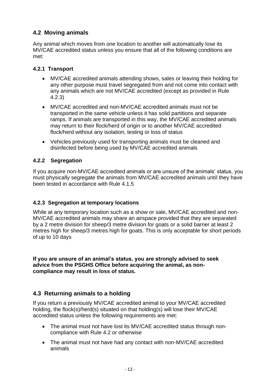# **4.2 Moving animals**

Any animal which moves from one location to another will automatically lose its MV/CAE accredited status unless you ensure that all of the following conditions are met:

## **4.2.1 Transport**

- MV/CAE accredited animals attending shows, sales or leaving their holding for any other purpose must travel segregated from and not come into contact with any animals which are not MV/CAE accredited (except as provided in Rule 4.2.3)
- MV/CAE accredited and non-MV/CAE accredited animals must not be transported in the same vehicle unless it has solid partitions and separate ramps. If animals are transported in this way, the MV/CAE accredited animals may return to their flock/herd of origin or to another MV/CAE accredited flock/herd without any isolation, testing or loss of status
- Vehicles previously used for transporting animals must be cleaned and disinfected before being used by MV/CAE accredited animals

# **4.2.2 Segregation**

If you acquire non-MV/CAE accredited animals or are unsure of the animals' status, you must physically segregate the animals from MV/CAE accredited animals until they have been tested in accordance with Rule 4.1.5

# **4.2.3 Segregation at temporary locations**

While at any temporary location such as a show or sale, MV/CAE accredited and non-MV/CAE accredited animals may share an airspace provided that they are separated by a 2 metre division for sheep/3 metre division for goats or a solid barrier at least 2 metres high for sheep/3 metres high for goats. This is only acceptable for short periods of up to 10 days

**If you are unsure of an animal's status, you are strongly advised to seek advice from the PSGHS Office before acquiring the animal, as noncompliance may result in loss of status.**

# **4.3 Returning animals to a holding**

If you return a previously MV/CAE accredited animal to your MV/CAE accredited holding, the flock(s)/herd(s) situated on that holding(s) will lose their MV/CAE accredited status unless the following requirements are met:

- The animal must not have lost its MV/CAE accredited status through noncompliance with Rule 4.2 or otherwise
- The animal must not have had any contact with non-MV/CAE accredited animals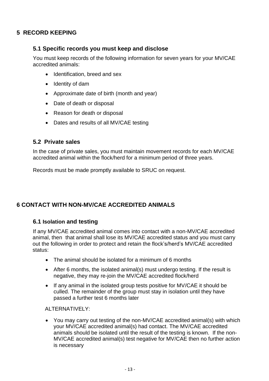# **5 RECORD KEEPING**

#### **5.1 Specific records you must keep and disclose**

You must keep records of the following information for seven years for your MV/CAE accredited animals:

- Identification, breed and sex
- Identity of dam
- Approximate date of birth (month and year)
- Date of death or disposal
- Reason for death or disposal
- Dates and results of all MV/CAE testing

#### **5.2 Private sales**

In the case of private sales, you must maintain movement records for each MV/CAE accredited animal within the flock/herd for a minimum period of three years.

Records must be made promptly available to SRUC on request.

# **6 CONTACT WITH NON-MV/CAE ACCREDITED ANIMALS**

#### **6.1 Isolation and testing**

If any MV/CAE accredited animal comes into contact with a non-MV/CAE accredited animal, then that animal shall lose its MV/CAE accredited status and you must carry out the following in order to protect and retain the flock's/herd's MV/CAE accredited status:

- The animal should be isolated for a minimum of 6 months
- After 6 months, the isolated animal(s) must undergo testing. If the result is negative, they may re-join the MV/CAE accredited flock/herd
- If any animal in the isolated group tests positive for MV/CAE it should be culled. The remainder of the group must stay in isolation until they have passed a further test 6 months later

ALTERNATIVELY:

• You may carry out testing of the non-MV/CAE accredited animal(s) with which your MV/CAE accredited animal(s) had contact. The MV/CAE accredited animals should be isolated until the result of the testing is known. If the non-MV/CAE accredited animal(s) test negative for MV/CAE then no further action is necessary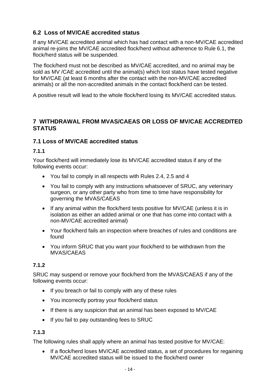# **6.2 Loss of MV/CAE accredited status**

If any MV/CAE accredited animal which has had contact with a non-MV/CAE accredited animal re-joins the MV/CAE accredited flock/herd without adherence to Rule 6.1, the flock/herd status will be suspended.

The flock/herd must not be described as MV/CAE accredited, and no animal may be sold as MV /CAE accredited until the animal(s) which lost status have tested negative for MV/CAE (at least 6 months after the contact with the non-MV/CAE accredited animals) or all the non-accredited animals in the contact flock/herd can be tested.

A positive result will lead to the whole flock/herd losing its MV/CAE accredited status.

# **7 WITHDRAWAL FROM MVAS/CAEAS OR LOSS OF MV/CAE ACCREDITED STATUS**

# **7.1 Loss of MV/CAE accredited status**

## **7.1.1**

Your flock/herd will immediately lose its MV/CAE accredited status if any of the following events occur:

- You fail to comply in all respects with Rules 2.4, 2.5 and 4
- You fail to comply with any instructions whatsoever of SRUC, any veterinary surgeon, or any other party who from time to time have responsibility for governing the MVAS/CAEAS
- If any animal within the flock/herd tests positive for MV/CAE (unless it is in isolation as either an added animal or one that has come into contact with a non-MV/CAE accredited animal)
- Your flock/herd fails an inspection where breaches of rules and conditions are found
- You inform SRUC that you want your flock/herd to be withdrawn from the MVAS/CAEAS

# **7.1.2**

SRUC may suspend or remove your flock/herd from the MVAS/CAEAS if any of the following events occur:

- If you breach or fail to comply with any of these rules
- You incorrectly portray your flock/herd status
- If there is any suspicion that an animal has been exposed to MV/CAE
- If you fail to pay outstanding fees to SRUC

# **7.1.3**

The following rules shall apply where an animal has tested positive for MV/CAE:

• If a flock/herd loses MV/CAE accredited status, a set of procedures for regaining MV/CAE accredited status will be issued to the flock/herd owner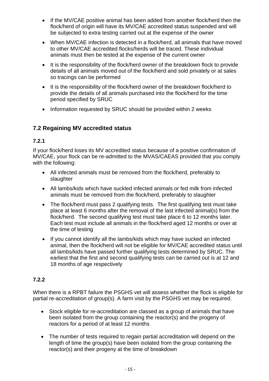- If the MV/CAE positive animal has been added from another flock/herd then the flock/herd of origin will have its MV/CAE accredited status suspended and will be subjected to extra testing carried out at the expense of the owner
- When MV/CAE infection is detected in a flock/herd, all animals that have moved to other MV/CAE accredited flocks/herds will be traced. These individual animals must then be tested at the expense of the current owner
- It is the responsibility of the flock/herd owner of the breakdown flock to provide details of all animals moved out of the flock/herd and sold privately or at sales so tracings can be performed
- It is the responsibility of the flock/herd owner of the breakdown flock/herd to provide the details of all animals purchased into the flock/herd for the time period specified by SRUC
- Information requested by SRUC should be provided within 2 weeks

# **7.2 Regaining MV accredited status**

## **7.2.1**

If your flock/herd loses its MV accredited status because of a positive confirmation of MV/CAE, your flock can be re-admitted to the MVAS/CAEAS provided that you comply with the following:

- All infected animals must be removed from the flock/herd, preferably to slaughter
- All lambs/kids which have suckled infected animals or fed milk from infected animals must be removed from the flock/herd, preferably to slaughter
- The flock/herd must pass 2 qualifying tests. The first qualifying test must take place at least 6 months after the removal of the last infected animal(s) from the flock/herd. The second qualifying test must take place 6 to 12 months later. Each test must include all animals in the flock/herd aged 12 months or over at the time of testing
- If you cannot identify all the lambs/kids which may have sucked an infected animal, then the flock/herd will not be eligible for MV/CAE accredited status until all lambs/kids have passed further qualifying tests determined by SRUC. The earliest that the first and second qualifying tests can be carried out is at 12 and 18 months of age respectively

# **7.2.2**

When there is a RPBT failure the PSGHS vet will assess whether the flock is eligible for partial re-accreditation of group(s). A farm visit by the PSGHS vet may be required.

- Stock eligible for re-accreditation are classed as a group of animals that have been isolated from the group containing the reactor(s) and the progeny of reactors for a period of at least 12 months
- The number of tests required to regain partial accreditation will depend on the length of time the group(s) have been isolated from the group containing the reactor(s) and their progeny at the time of breakdown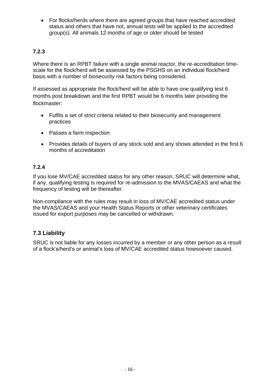• For flocks/herds where there are agreed groups that have reached accredited status and others that have not, annual tests will be applied to the accredited group(s). All animals 12 months of age or older should be tested

# **7.2.3**

Where there is an RPBT failure with a single animal reactor, the re-accreditation timescale for the flock/herd will be assessed by the PSGHS on an individual flock/herd basis with a number of biosecurity risk factors being considered.

If assessed as appropriate the flock/herd will be able to have one qualifying test 6 months post breakdown and the first RPBT would be 6 months later providing the flockmaster:

- Fulfils a set of strict criteria related to their biosecurity and management practices
- Passes a farm inspection
- Provides details of buyers of any stock sold and any shows attended in the first 6 months of accreditation

## **7.2.4**

If you lose MV/CAE accredited status for any other reason, SRUC will determine what, if any, qualifying testing is required for re-admission to the MVAS/CAEAS and what the frequency of testing will be thereafter.

Non-compliance with the rules may result in loss of MV/CAE accredited status under the MVAS/CAEAS and your Health Status Reports or other veterinary certificates issued for export purposes may be cancelled or withdrawn.

# **7.3 Liability**

SRUC is not liable for any losses incurred by a member or any other person as a result of a flock's/herd's or animal's loss of MV/CAE accredited status howsoever caused.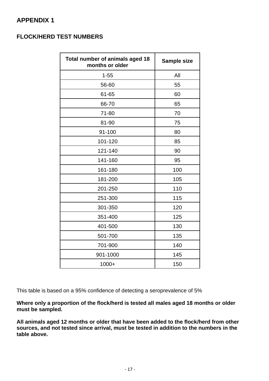# **APPENDIX 1**

# **FLOCK/HERD TEST NUMBERS**

| Total number of animals aged 18<br>months or older | <b>Sample size</b> |
|----------------------------------------------------|--------------------|
| $1 - 55$                                           | All                |
| 56-60                                              | 55                 |
| 61-65                                              | 60                 |
| 66-70                                              | 65                 |
| 71-80                                              | 70                 |
| 81-90                                              | 75                 |
| 91-100                                             | 80                 |
| 101-120                                            | 85                 |
| 121-140                                            | 90                 |
| 141-160                                            | 95                 |
| 161-180                                            | 100                |
| 181-200                                            | 105                |
| 201-250                                            | 110                |
| 251-300                                            | 115                |
| 301-350                                            | 120                |
| 351-400                                            | 125                |
| 401-500                                            | 130                |
| 501-700                                            | 135                |
| 701-900                                            | 140                |
| 901-1000                                           | 145                |
| $1000+$                                            | 150                |

This table is based on a 95% confidence of detecting a seroprevalence of 5%

**Where only a proportion of the flock/herd is tested all males aged 18 months or older must be sampled.**

**All animals aged 12 months or older that have been added to the flock/herd from other sources, and not tested since arrival, must be tested in addition to the numbers in the table above.**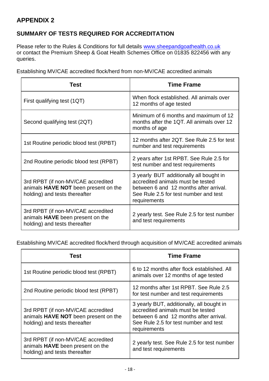# **APPENDIX 2**

# **SUMMARY OF TESTS REQUIRED FOR ACCREDITATION**

Please refer to the Rules & Conditions for full details [www.sheepandgoathealth.co.uk](http://www.sheepandgoathealth.co.uk/) or contact the Premium Sheep & Goat Health Schemes Office on 01835 822456 with any queries.

Establishing MV/CAE accredited flock/herd from non-MV/CAE accredited animals

| Test                                                                                                           | <b>Time Frame</b>                                                                                                                                                               |
|----------------------------------------------------------------------------------------------------------------|---------------------------------------------------------------------------------------------------------------------------------------------------------------------------------|
| First qualifying test (1QT)                                                                                    | When flock established. All animals over<br>12 months of age tested                                                                                                             |
| Second qualifying test (2QT)                                                                                   | Minimum of 6 months and maximum of 12<br>months after the 1QT. All animals over 12<br>months of age                                                                             |
| 1st Routine periodic blood test (RPBT)                                                                         | 12 months after 2QT. See Rule 2.5 for test<br>number and test requirements                                                                                                      |
| 2nd Routine periodic blood test (RPBT)                                                                         | 2 years after 1st RPBT. See Rule 2.5 for<br>test number and test requirements                                                                                                   |
| 3rd RPBT (if non-MV/CAE accredited<br>animals HAVE NOT been present on the<br>holding) and tests thereafter    | 3 yearly BUT additionally all bought in<br>accredited animals must be tested<br>between 6 and 12 months after arrival.<br>See Rule 2.5 for test number and test<br>requirements |
| 3rd RPBT (if non-MV/CAE accredited<br>animals <b>HAVE</b> been present on the<br>holding) and tests thereafter | 2 yearly test. See Rule 2.5 for test number<br>and test requirements                                                                                                            |

Establishing MV/CAE accredited flock/herd through acquisition of MV/CAE accredited animals

| Test                                                                                                        | <b>Time Frame</b>                                                                                                                                                                 |
|-------------------------------------------------------------------------------------------------------------|-----------------------------------------------------------------------------------------------------------------------------------------------------------------------------------|
| 1st Routine periodic blood test (RPBT)                                                                      | 6 to 12 months after flock established. All<br>animals over 12 months of age tested                                                                                               |
| 2nd Routine periodic blood test (RPBT)                                                                      | 12 months after 1st RPBT. See Rule 2.5<br>for test number and test requirements                                                                                                   |
| 3rd RPBT (if non-MV/CAE accredited<br>animals HAVE NOT been present on the<br>holding) and tests thereafter | 3 yearly BUT, additionally, all bought in<br>accredited animals must be tested<br>between 6 and 12 months after arrival.<br>See Rule 2.5 for test number and test<br>requirements |
| 3rd RPBT (if non-MV/CAE accredited<br>animals HAVE been present on the<br>holding) and tests thereafter     | 2 yearly test. See Rule 2.5 for test number<br>and test requirements                                                                                                              |